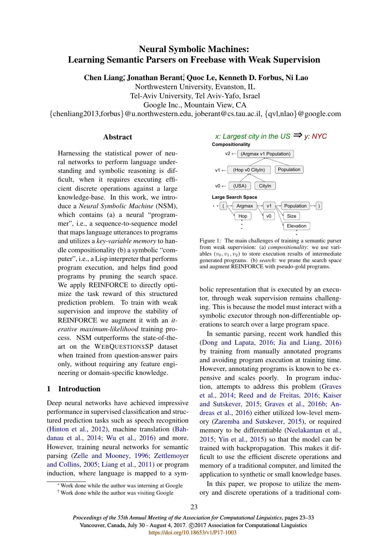# Neural Symbolic Machines: Learning Semantic Parsers on Freebase with Weak Supervision

Chen Liang; Jonathan Berant; Quoc Le, Kenneth D. Forbus, Ni Lao

Northwestern University, Evanston, IL

Tel-Aviv University, Tel Aviv-Yafo, Israel

Google Inc., Mountain View, CA

{chenliang2013,forbus}@u.northwestern.edu, joberant@cs.tau.ac.il, {qvl,nlao}@google.com

# Abstract

Harnessing the statistical power of neural networks to perform language understanding and symbolic reasoning is difficult, when it requires executing efficient discrete operations against a large knowledge-base. In this work, we introduce a *Neural Symbolic Machine* (NSM), which contains (a) a neural "programmer", i.e., a sequence-to-sequence model that maps language utterances to programs and utilizes a *key-variable memory* to handle compositionality (b) a symbolic "computer", i.e., a Lisp interpreter that performs program execution, and helps find good programs by pruning the search space. We apply REINFORCE to directly optimize the task reward of this structured prediction problem. To train with weak supervision and improve the stability of REINFORCE we augment it with an *iterative maximum-likelihood* training process. NSM outperforms the state-of-theart on the WEBQUESTIONSSP dataset when trained from question-answer pairs only, without requiring any feature engineering or domain-specific knowledge.

# 1 Introduction

Deep neural networks have achieved impressive performance in supervised classification and structured prediction tasks such as speech recognition (Hinton et al., 2012), machine translation (Bahdanau et al., 2014; Wu et al., 2016) and more. However, training neural networks for semantic parsing (Zelle and Mooney, 1996; Zettlemoyer and Collins, 2005; Liang et al., 2011) or program induction, where language is mapped to a sym-

⇤Work done while the author was interning at Google † Work done while the author was visiting Google



Figure 1: The main challenges of training a semantic parser from weak supervision: (a) *compositionality*: we use variables  $(v_0, v_1, v_2)$  to store execution results of intermediate generated programs. (b) *search*: we prune the search space and augment REINFORCE with pseudo-gold programs.

Elevation

bolic representation that is executed by an executor, through weak supervision remains challenging. This is because the model must interact with a symbolic executor through non-differentiable operations to search over a large program space.

In semantic parsing, recent work handled this (Dong and Lapata, 2016; Jia and Liang, 2016) by training from manually annotated programs and avoiding program execution at training time. However, annotating programs is known to be expensive and scales poorly. In program induction, attempts to address this problem (Graves et al., 2014; Reed and de Freitas, 2016; Kaiser and Sutskever, 2015; Graves et al., 2016b; Andreas et al., 2016) either utilized low-level memory (Zaremba and Sutskever, 2015), or required memory to be differentiable (Neelakantan et al., 2015; Yin et al., 2015) so that the model can be trained with backpropagation. This makes it difficult to use the efficient discrete operations and memory of a traditional computer, and limited the application to synthetic or small knowledge bases.

In this paper, we propose to utilize the memory and discrete operations of a traditional com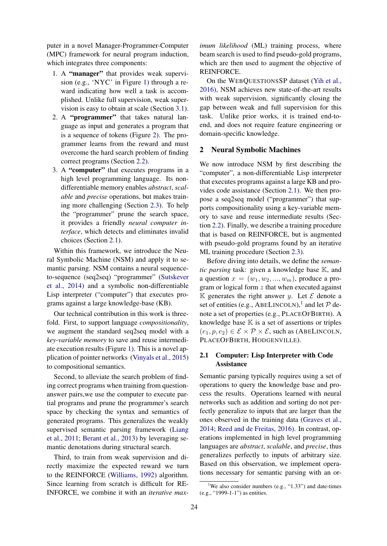puter in a novel Manager-Programmer-Computer (MPC) framework for neural program induction, which integrates three components:

- 1. A "manager" that provides weak supervision (e.g., 'NYC' in Figure 1) through a reward indicating how well a task is accomplished. Unlike full supervision, weak supervision is easy to obtain at scale (Section 3.1).
- 2. A "programmer" that takes natural language as input and generates a program that is a sequence of tokens (Figure 2). The programmer learns from the reward and must overcome the hard search problem of finding correct programs (Section 2.2).
- 3. A "computer" that executes programs in a high level programming language. Its nondifferentiable memory enables *abstract*, *scalable* and *precise* operations, but makes training more challenging (Section 2.3). To help the "programmer" prune the search space, it provides a friendly *neural computer interface*, which detects and eliminates invalid choices (Section 2.1).

Within this framework, we introduce the Neural Symbolic Machine (NSM) and apply it to semantic parsing. NSM contains a neural sequenceto-sequence (seq2seq) "programmer" (Sutskever et al., 2014) and a symbolic non-differentiable Lisp interpreter ("computer") that executes programs against a large knowledge-base (KB).

Our technical contribution in this work is threefold. First, to support language *compositionality*, we augment the standard seq2seq model with a *key-variable memory* to save and reuse intermediate execution results (Figure 1). This is a novel application of pointer networks (Vinyals et al., 2015) to compositional semantics.

Second, to alleviate the search problem of finding correct programs when training from questionanswer pairs,we use the computer to execute partial programs and prune the programmer's search space by checking the syntax and semantics of generated programs. This generalizes the weakly supervised semantic parsing framework (Liang et al., 2011; Berant et al., 2013) by leveraging semantic denotations during structural search.

Third, to train from weak supervision and directly maximize the expected reward we turn to the REINFORCE (Williams, 1992) algorithm. Since learning from scratch is difficult for RE-INFORCE, we combine it with an *iterative max-*

*imum likelihood* (ML) training process, where beam search is used to find pseudo-gold programs, which are then used to augment the objective of REINFORCE.

On the WEBQUESTIONSSP dataset (Yih et al., 2016), NSM achieves new state-of-the-art results with weak supervision, significantly closing the gap between weak and full supervision for this task. Unlike prior works, it is trained end-toend, and does not require feature engineering or domain-specific knowledge.

## 2 Neural Symbolic Machines

We now introduce NSM by first describing the "computer", a non-differentiable Lisp interpreter that executes programs against a large KB and provides code assistance (Section 2.1). We then propose a seq2seq model ("programmer") that supports compositionality using a key-variable memory to save and reuse intermediate results (Section 2.2). Finally, we describe a training procedure that is based on REINFORCE, but is augmented with pseudo-gold programs found by an iterative ML training procedure (Section 2.3).

Before diving into details, we define the *semantic parsing* task: given a knowledge base K, and a question  $x = (w_1, w_2, ..., w_m)$ , produce a program or logical form  $z$  that when executed against K generates the right answer y. Let  $\mathcal E$  denote a set of entities (e.g., ABELINCOLN),<sup>1</sup> and let  $P$  denote a set of properties (e.g., PLACEOFBIRTH). A knowledge base  $\mathbb K$  is a set of assertions or triples  $(e_1, p, e_2) \in \mathcal{E} \times \mathcal{P} \times \mathcal{E}$ , such as (ABELINCOLN, PLACEOFBIRTH, HODGENVILLE).

# 2.1 Computer: Lisp Interpreter with Code Assistance

Semantic parsing typically requires using a set of operations to query the knowledge base and process the results. Operations learned with neural networks such as addition and sorting do not perfectly generalize to inputs that are larger than the ones observed in the training data (Graves et al., 2014; Reed and de Freitas, 2016). In contrast, operations implemented in high level programming languages are *abstract*, *scalable*, and *precise*, thus generalizes perfectly to inputs of arbitrary size. Based on this observation, we implement operations necessary for semantic parsing with an or-

<sup>&</sup>lt;sup>1</sup>We also consider numbers (e.g., "1.33") and date-times (e.g., "1999-1-1") as entities.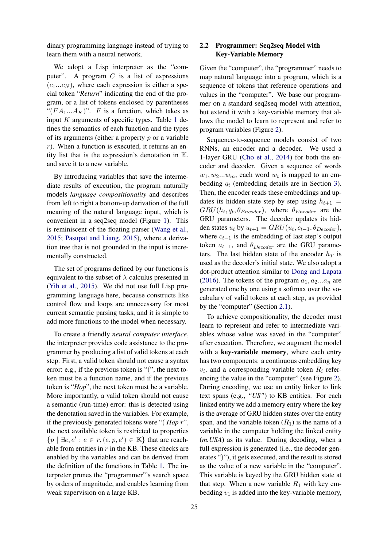dinary programming language instead of trying to learn them with a neural network.

We adopt a Lisp interpreter as the "computer". A program  $C$  is a list of expressions  $(c_1...c_N)$ , where each expression is either a special token "*Return*" indicating the end of the program, or a list of tokens enclosed by parentheses " $(FA_1...A_K)$ ". F is a function, which takes as input  $K$  arguments of specific types. Table 1 defines the semantics of each function and the types of its arguments (either a property  $p$  or a variable  $r$ ). When a function is executed, it returns an entity list that is the expression's denotation in K, and save it to a new variable.

By introducing variables that save the intermediate results of execution, the program naturally models *language compositionality* and describes from left to right a bottom-up derivation of the full meaning of the natural language input, which is convenient in a seq2seq model (Figure 1). This is reminiscent of the floating parser (Wang et al., 2015; Pasupat and Liang, 2015), where a derivation tree that is not grounded in the input is incrementally constructed.

The set of programs defined by our functions is equivalent to the subset of  $\lambda$ -calculus presented in (Yih et al., 2015). We did not use full Lisp programming language here, because constructs like control flow and loops are unnecessary for most current semantic parsing tasks, and it is simple to add more functions to the model when necessary.

To create a friendly *neural computer interface*, the interpreter provides code assistance to the programmer by producing a list of valid tokens at each step. First, a valid token should not cause a syntax error: e.g., if the previous token is "(", the next token must be a function name, and if the previous token is "*Hop*", the next token must be a variable. More importantly, a valid token should not cause a semantic (run-time) error: this is detected using the denotation saved in the variables. For example, if the previously generated tokens were "( *Hop* r", the next available token is restricted to properties  $\{p \mid \exists e, e' : e \in r, (e, p, e') \in \mathbb{K}\}\$  that are reachable from entities in  $r$  in the KB. These checks are enabled by the variables and can be derived from the definition of the functions in Table 1. The interpreter prunes the "programmer"'s search space by orders of magnitude, and enables learning from weak supervision on a large KB.

# 2.2 Programmer: Seq2seq Model with Key-Variable Memory

Given the "computer", the "programmer" needs to map natural language into a program, which is a sequence of tokens that reference operations and values in the "computer". We base our programmer on a standard seq2seq model with attention, but extend it with a key-variable memory that allows the model to learn to represent and refer to program variables (Figure 2).

Sequence-to-sequence models consist of two RNNs, an encoder and a decoder. We used a 1-layer GRU (Cho et al., 2014) for both the encoder and decoder. Given a sequence of words  $w_1, w_2...w_m$ , each word  $w_t$  is mapped to an embedding  $q_t$  (embedding details are in Section 3). Then, the encoder reads these embeddings and updates its hidden state step by step using  $h_{t+1} =$  $GRU(h_t, q_t, \theta_{Encoder})$ , where  $\theta_{Encoder}$  are the GRU parameters. The decoder updates its hidden states  $u_t$  by  $u_{t+1} = GRU(u_t, c_{t-1}, \theta_{Decoder}),$ where  $c_{t-1}$  is the embedding of last step's output token  $a_{t-1}$ , and  $\theta_{Decoder}$  are the GRU parameters. The last hidden state of the encoder  $h_T$  is used as the decoder's initial state. We also adopt a dot-product attention similar to Dong and Lapata (2016). The tokens of the program  $a_1, a_2...a_n$  are generated one by one using a softmax over the vocabulary of valid tokens at each step, as provided by the "computer" (Section 2.1).

To achieve compositionality, the decoder must learn to represent and refer to intermediate variables whose value was saved in the "computer" after execution. Therefore, we augment the model with a key-variable memory, where each entry has two components: a continuous embedding key  $v_i$ , and a corresponding variable token  $R_i$  referencing the value in the "computer" (see Figure 2). During encoding, we use an entity linker to link text spans (e.g., *"US"*) to KB entities. For each linked entity we add a memory entry where the key is the average of GRU hidden states over the entity span, and the variable token  $(R_1)$  is the name of a variable in the computer holding the linked entity (*m.USA*) as its value. During decoding, when a full expression is generated (i.e., the decoder generates ")"), it gets executed, and the result is stored as the value of a new variable in the "computer". This variable is keyed by the GRU hidden state at that step. When a new variable  $R_1$  with key embedding  $v_1$  is added into the key-variable memory,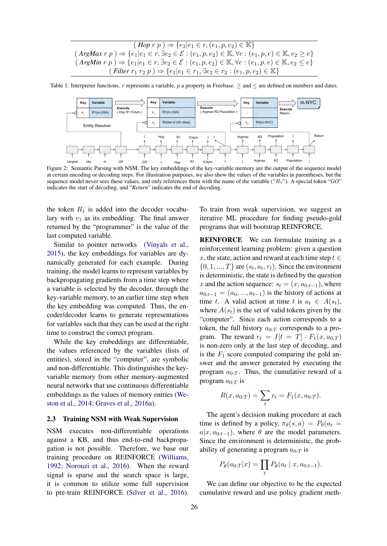$$
(Hop r p) \Rightarrow \{e_2|e_1 \in r, (e_1, p, e_2) \in \mathbb{K}\}
$$
  

$$
(ArgMax r p) \Rightarrow \{e_1|e_1 \in r, \exists e_2 \in \mathcal{E} : (e_1, p, e_2) \in \mathbb{K}, \forall e : (e_1, p, e) \in \mathbb{K}, e_2 \ge e\}
$$
  

$$
(ArgMin r p) \Rightarrow \{e_1|e_1 \in r, \exists e_2 \in \mathcal{E} : (e_1, p, e_2) \in \mathbb{K}, \forall e : (e_1, p, e) \in \mathbb{K}, e_2 \le e\}
$$
  

$$
(Filter r_1 r_2 p) \Rightarrow \{e_1|e_1 \in r_1, \exists e_2 \in r_2 : (e_1, p, e_2) \in \mathbb{K}\}
$$

Table 1: Interpreter functions. r represents a variable, p a property in Freebase.  $\geq$  and  $\leq$  are defined on numbers and dates.



Figure 2: Semantic Parsing with NSM. The key embeddings of the key-variable memory are the output of the sequence model at certain encoding or decoding steps. For illustration purposes, we also show the values of the variables in parentheses, but the sequence model never sees these values, and only references them with the name of the variable ("R1"). A special token "*GO*" indicates the start of decoding, and "*Return*" indicates the end of decoding.

the token  $R_1$  is added into the decoder vocabulary with  $v_1$  as its embedding. The final answer returned by the "programmer" is the value of the last computed variable.

Similar to pointer networks (Vinyals et al., 2015), the key embeddings for variables are dynamically generated for each example. During training, the model learns to represent variables by backpropagating gradients from a time step where a variable is selected by the decoder, through the key-variable memory, to an earlier time step when the key embedding was computed. Thus, the encoder/decoder learns to generate representations for variables such that they can be used at the right time to construct the correct program.

While the key embeddings are differentiable, the values referenced by the variables (lists of entities), stored in the "computer", are symbolic and non-differentiable. This distinguishes the keyvariable memory from other memory-augmented neural networks that use continuous differentiable embeddings as the values of memory entries (Weston et al., 2014; Graves et al., 2016a).

#### 2.3 Training NSM with Weak Supervision

NSM executes non-differentiable operations against a KB, and thus end-to-end backpropagation is not possible. Therefore, we base our training procedure on REINFORCE (Williams, 1992; Norouzi et al., 2016). When the reward signal is sparse and the search space is large, it is common to utilize some full supervision to pre-train REINFORCE (Silver et al., 2016).

To train from weak supervision, we suggest an iterative ML procedure for finding pseudo-gold programs that will bootstrap REINFORCE.

REINFORCE We can formulate training as a reinforcement learning problem: given a question x, the state, action and reward at each time step  $t \in$  $\{0, 1, ..., T\}$  are  $(s_t, a_t, r_t)$ . Since the environment is deterministic, the state is defined by the question x and the action sequence:  $s_t = (x, a_{0:t-1})$ , where  $a_{0:t-1} = (a_0, ..., a_{t-1})$  is the history of actions at time t. A valid action at time t is  $a_t \in A(s_t)$ , where  $A(s_t)$  is the set of valid tokens given by the "computer". Since each action corresponds to a token, the full history  $a_{0:T}$  corresponds to a program. The reward  $r_t = I[t = T] \cdot F_1(x, a_{0:T})$ is non-zero only at the last step of decoding, and is the  $F_1$  score computed comparing the gold answer and the answer generated by executing the program  $a_{0:T}$ . Thus, the cumulative reward of a program  $a_{0:T}$  is

$$
R(x, a_{0:T}) = \sum_{t} r_t = F_1(x, a_{0:T}).
$$

The agent's decision making procedure at each time is defined by a policy,  $\pi_{\theta}(s, a) = P_{\theta}(a_t =$  $a|x, a_{0:t-1}$ , where  $\theta$  are the model parameters. Since the environment is deterministic, the probability of generating a program  $a_{0:T}$  is

$$
P_{\theta}(a_{0:T}|x) = \prod_t P_{\theta}(a_t | x, a_{0:t-1}).
$$

We can define our objective to be the expected cumulative reward and use policy gradient meth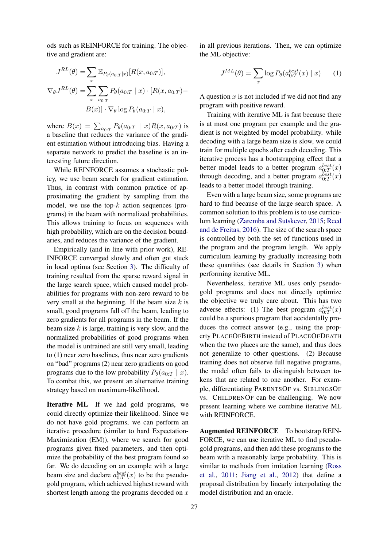ods such as REINFORCE for training. The objective and gradient are:

$$
J^{RL}(\theta) = \sum_{x} \mathbb{E}_{P_{\theta}(a_{0:T}|x)}[R(x, a_{0:T})],
$$
  

$$
\nabla_{\theta} J^{RL}(\theta) = \sum_{x} \sum_{a_{0:T}} P_{\theta}(a_{0:T} | x) \cdot [R(x, a_{0:T}) -
$$
  

$$
B(x)] \cdot \nabla_{\theta} \log P_{\theta}(a_{0:T} | x),
$$

where  $B(x) = \sum_{a_{0:T}} P_{\theta}(a_{0:T} | x)R(x, a_{0:T})$  is a baseline that reduces the variance of the gradient estimation without introducing bias. Having a separate network to predict the baseline is an interesting future direction.

While REINFORCE assumes a stochastic policy, we use beam search for gradient estimation. Thus, in contrast with common practice of approximating the gradient by sampling from the model, we use the top- $k$  action sequences (programs) in the beam with normalized probabilities. This allows training to focus on sequences with high probability, which are on the decision boundaries, and reduces the variance of the gradient.

Empirically (and in line with prior work), RE-INFORCE converged slowly and often got stuck in local optima (see Section 3). The difficulty of training resulted from the sparse reward signal in the large search space, which caused model probabilities for programs with non-zero reward to be very small at the beginning. If the beam size  $k$  is small, good programs fall off the beam, leading to zero gradients for all programs in the beam. If the beam size  $k$  is large, training is very slow, and the normalized probabilities of good programs when the model is untrained are still very small, leading to (1) near zero baselines, thus near zero gradients on "bad" programs (2) near zero gradients on good programs due to the low probability  $P_{\theta}(a_{0:T} | x)$ . To combat this, we present an alternative training strategy based on maximum-likelihood.

Iterative ML If we had gold programs, we could directly optimize their likelihood. Since we do not have gold programs, we can perform an iterative procedure (similar to hard Expectation-Maximization (EM)), where we search for good programs given fixed parameters, and then optimize the probability of the best program found so far. We do decoding on an example with a large beam size and declare  $a_{0:T}^{best}(x)$  to be the pseudogold program, which achieved highest reward with shortest length among the programs decoded on  $x$ 

in all previous iterations. Then, we can optimize the ML objective:

$$
J^{ML}(\theta) = \sum_{x} \log P_{\theta}(a_{0:T}^{best}(x) \mid x) \qquad (1)
$$

A question  $x$  is not included if we did not find any program with positive reward.

Training with iterative ML is fast because there is at most one program per example and the gradient is not weighted by model probability. while decoding with a large beam size is slow, we could train for multiple epochs after each decoding. This iterative process has a bootstrapping effect that a better model leads to a better program  $a_{0:T}^{best}(x)$ through decoding, and a better program  $a_{0:T}^{best}(x)$ leads to a better model through training.

Even with a large beam size, some programs are hard to find because of the large search space. A common solution to this problem is to use curriculum learning (Zaremba and Sutskever, 2015; Reed and de Freitas, 2016). The size of the search space is controlled by both the set of functions used in the program and the program length. We apply curriculum learning by gradually increasing both these quantities (see details in Section 3) when performing iterative ML.

Nevertheless, iterative ML uses only pseudogold programs and does not directly optimize the objective we truly care about. This has two adverse effects: (1) The best program  $a_{0:T}^{best}(x)$ could be a spurious program that accidentally produces the correct answer (e.g., using the property PLACEOFBIRTH instead of PLACEOFDEATH when the two places are the same), and thus does not generalize to other questions. (2) Because training does not observe full negative programs, the model often fails to distinguish between tokens that are related to one another. For example, differentiating PARENTSOF vs. SIBLINGSOF vs. CHILDRENOF can be challenging. We now present learning where we combine iterative ML with REINFORCE.

Augmented REINFORCE To bootstrap REIN-FORCE, we can use iterative ML to find pseudogold programs, and then add these programs to the beam with a reasonably large probability. This is similar to methods from imitation learning (Ross et al., 2011; Jiang et al., 2012) that define a proposal distribution by linearly interpolating the model distribution and an oracle.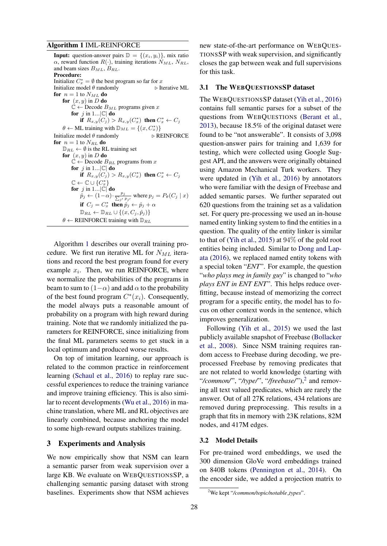#### Algorithm 1 IML-REINFORCE

**Input:** question-answer pairs  $\mathbb{D} = \{(x_i, y_i)\}\$ , mix ratio  $\alpha$ , reward function  $R(\cdot)$ , training iterations  $N_{ML}$ ,  $N_{RL}$ , and beam sizes  $B_{ML}$ ,  $B_{RL}$ . Procedure: Initialize  $C_x^* = \emptyset$  the best program so far for x Initialize model  $\theta$  randomly  $\triangleright$  Iterative ML for  $n = 1$  to  $N_{ML}$  do for  $(x, y)$  in D do  $\mathbb{C} \leftarrow$  Decode  $B_{ML}$  programs given x for j in 1... $|\mathbb{C}|$  do if  $R_{x,y}(C_j) > R_{x,y}(C_x^*)$  then  $C_x^* \leftarrow C_j$  $\theta \leftarrow \text{ML training with } \mathbb{D}_{ML} = \{(x, C_x^*)\}$ Initialize model  $\theta$  randomly  $\triangleright$  REINFORCE for  $n = 1$  to  $N_{RL}$  do  $\mathbb{D}_{RL} \leftarrow \emptyset$  is the RL training set for  $(x, y)$  in D do  $\mathbb{C} \leftarrow$  Decode  $B_{RL}$  programs from x for j in 1... $|\mathbb{C}|$  do if  $R_{x,y}(C_j) > R_{x,y}(C_x^*)$  then  $C_x^* \leftarrow C_j$  $\mathbb{C} \leftarrow \mathbb{C} \cup \{C_x^*\}$ <br>for  $j$  in 1...|C| do  $\r{p}_j \leftarrow (1-\alpha) \cdot \frac{p_j}{\sum_{j'} p_{j'}}$  where  $p_j = P_\theta(C_j \mid x)$ if  $C_j = C_x^*$  then  $\hat{p}_j \leftarrow \hat{p}_j + \alpha$  $\mathbb{D}_{RL} \leftarrow \mathbb{D}_{RL} \cup \{(x, C_i, \hat{p}_i)\}\$  $\theta \leftarrow$  REINFORCE training with  $\mathbb{D}_{RL}$ 

Algorithm 1 describes our overall training procedure. We first run iterative ML for  $N_{ML}$  iterations and record the best program found for every example  $x_i$ . Then, we run REINFORCE, where we normalize the probabilities of the programs in beam to sum to  $(1-\alpha)$  and add  $\alpha$  to the probability of the best found program  $C^*(x_i)$ . Consequently, the model always puts a reasonable amount of probability on a program with high reward during training. Note that we randomly initialized the parameters for REINFORCE, since initializing from the final ML parameters seems to get stuck in a local optimum and produced worse results.

On top of imitation learning, our approach is related to the common practice in reinforcement learning (Schaul et al., 2016) to replay rare successful experiences to reduce the training variance and improve training efficiency. This is also similar to recent developments (Wu et al., 2016) in machine translation, where ML and RL objectives are linearly combined, because anchoring the model to some high-reward outputs stabilizes training.

# 3 Experiments and Analysis

We now empirically show that NSM can learn a semantic parser from weak supervision over a large KB. We evaluate on WEBQUESTIONSSP, a challenging semantic parsing dataset with strong baselines. Experiments show that NSM achieves

new state-of-the-art performance on WEBQUES-TIONSSP with weak supervision, and significantly closes the gap between weak and full supervisions for this task.

#### 3.1 The WEBQUESTIONSSP dataset

The WEBQUESTIONSSP dataset (Yih et al., 2016) contains full semantic parses for a subset of the questions from WEBQUESTIONS (Berant et al., 2013), because 18.5% of the original dataset were found to be "not answerable". It consists of 3,098 question-answer pairs for training and 1,639 for testing, which were collected using Google Suggest API, and the answers were originally obtained using Amazon Mechanical Turk workers. They were updated in (Yih et al., 2016) by annotators who were familiar with the design of Freebase and added semantic parses. We further separated out 620 questions from the training set as a validation set. For query pre-processing we used an in-house named entity linking system to find the entities in a question. The quality of the entity linker is similar to that of (Yih et al., 2015) at 94% of the gold root entities being included. Similar to Dong and Lapata (2016), we replaced named entity tokens with a special token "*ENT*". For example, the question "*who plays meg in family guy*" is changed to "*who plays ENT in ENT ENT*". This helps reduce overfitting, because instead of memorizing the correct program for a specific entity, the model has to focus on other context words in the sentence, which improves generalization.

Following (Yih et al., 2015) we used the last publicly available snapshot of Freebase (Bollacker et al., 2008). Since NSM training requires random access to Freebase during decoding, we preprocessed Freebase by removing predicates that are not related to world knowledge (starting with "/common/", "/type/", "/freebase/"),<sup>2</sup> and removing all text valued predicates, which are rarely the answer. Out of all 27K relations, 434 relations are removed during preprocessing. This results in a graph that fits in memory with 23K relations, 82M nodes, and 417M edges.

#### 3.2 Model Details

For pre-trained word embeddings, we used the 300 dimension GloVe word embeddings trained on 840B tokens (Pennington et al., 2014). On the encoder side, we added a projection matrix to

<sup>2</sup> We kept "*/common/topic/notable types*".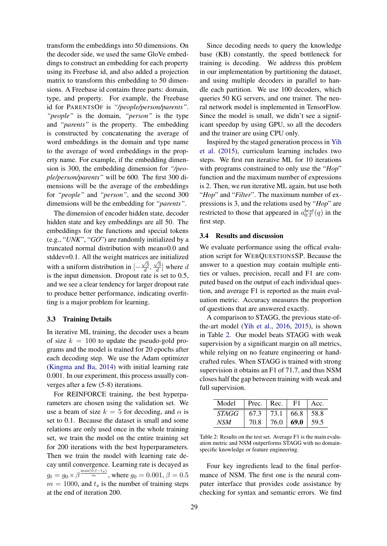transform the embeddings into 50 dimensions. On the decoder side, we used the same GloVe embeddings to construct an embedding for each property using its Freebase id, and also added a projection matrix to transform this embedding to 50 dimensions. A Freebase id contains three parts: domain, type, and property. For example, the Freebase id for PARENTSOF is *"/people/person/parents"*. *"people"* is the domain, *"person"* is the type and *"parents"* is the property. The embedding is constructed by concatenating the average of word embeddings in the domain and type name to the average of word embeddings in the property name. For example, if the embedding dimension is 300, the embedding dimension for *"/people/person/parents"* will be 600. The first 300 dimensions will be the average of the embeddings for *"people"* and *"person"*, and the second 300 dimensions will be the embedding for *"parents"*.

The dimension of encoder hidden state, decoder hidden state and key embeddings are all 50. The embeddings for the functions and special tokens (e.g., "*UNK*", "*GO*") are randomly initialized by a truncated normal distribution with mean=0.0 and stddev=0.1. All the weight matrices are initialized with a uniform distribution in  $\left[-\frac{\sqrt{3}}{d}, \frac{\sqrt{3}}{d}\right]$  where d is the input dimension. Dropout rate is set to 0.5, and we see a clear tendency for larger dropout rate to produce better performance, indicating overfitting is a major problem for learning.

## 3.3 Training Details

In iterative ML training, the decoder uses a beam of size  $k = 100$  to update the pseudo-gold programs and the model is trained for 20 epochs after each decoding step. We use the Adam optimizer (Kingma and Ba, 2014) with initial learning rate 0.001. In our experiment, this process usually converges after a few (5-8) iterations.

For REINFORCE training, the best hyperparameters are chosen using the validation set. We use a beam of size  $k = 5$  for decoding, and  $\alpha$  is set to 0.1. Because the dataset is small and some relations are only used once in the whole training set, we train the model on the entire training set for 200 iterations with the best hyperparameters. Then we train the model with learning rate decay until convergence. Learning rate is decayed as  $g_t = g_0 \times \beta^{\frac{\max(0,t-t_s)}{m}}$ , where  $g_0 = 0.001$ ,  $\beta = 0.5$  $m = 1000$ , and  $t_s$  is the number of training steps at the end of iteration 200.

Since decoding needs to query the knowledge base (KB) constantly, the speed bottleneck for training is decoding. We address this problem in our implementation by partitioning the dataset, and using multiple decoders in parallel to handle each partition. We use 100 decoders, which queries 50 KG servers, and one trainer. The neural network model is implemented in TensorFlow. Since the model is small, we didn't see a significant speedup by using GPU, so all the decoders and the trainer are using CPU only.

Inspired by the staged generation process in Yih et al. (2015), curriculum learning includes two steps. We first run iterative ML for 10 iterations with programs constrained to only use the "*Hop*" function and the maximum number of expressions is 2. Then, we run iterative ML again, but use both "*Hop*" and "*Filter*". The maximum number of expressions is 3, and the relations used by "*Hop*" are restricted to those that appeared in  $a_{0:T}^{best}(q)$  in the first step.

#### 3.4 Results and discussion

We evaluate performance using the offical evaluation script for WEBQUESTIONSSP. Because the answer to a question may contain multiple entities or values, precision, recall and F1 are computed based on the output of each individual question, and average F1 is reported as the main evaluation metric. Accuracy measures the proportion of questions that are answered exactly.

A comparison to STAGG, the previous state-ofthe-art model (Yih et al., 2016, 2015), is shown in Table 2. Our model beats STAGG with weak supervision by a significant margin on all metrics, while relying on no feature engineering or handcrafted rules. When STAGG is trained with strong supervision it obtains an F1 of 71.7, and thus NSM closes half the gap between training with weak and full supervision.

| Model        | Prec. $ $ Rec. |      | F1   | Acc. |
|--------------|----------------|------|------|------|
| <i>STAGG</i> | 67.3           | 73.1 | 66.8 | 58.8 |
| NSM          | 70.8           | 76.0 | 69.0 |      |

Table 2: Results on the test set. Average F1 is the main evaluation metric and NSM outperforms STAGG with no domainspecific knowledge or feature engineering.

Four key ingredients lead to the final performance of NSM. The first one is the neural computer interface that provides code assistance by checking for syntax and semantic errors. We find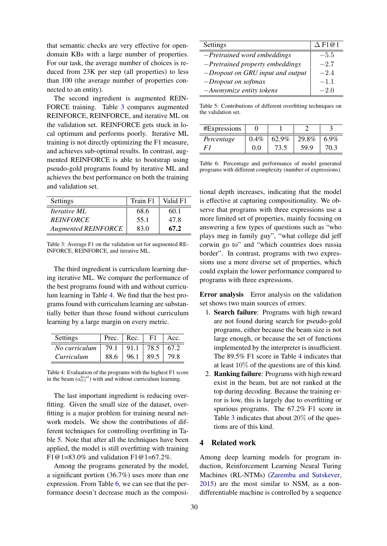that semantic checks are very effective for opendomain KBs with a large number of properties. For our task, the average number of choices is reduced from 23K per step (all properties) to less than 100 (the average number of properties connected to an entity).

The second ingredient is augmented REIN-FORCE training. Table 3 compares augmented REINFORCE, REINFORCE, and iterative ML on the validation set. REINFORCE gets stuck in local optimum and performs poorly. Iterative ML training is not directly optimizing the F1 measure, and achieves sub-optimal results. In contrast, augmented REINFORCE is able to bootstrap using pseudo-gold programs found by iterative ML and achieves the best performance on both the training and validation set.

| Settings                   | Train F1 | Valid F1 |
|----------------------------|----------|----------|
| <i>Iterative ML</i>        | 68.6     | 60.1     |
| <b>REINFORCE</b>           | 55.1     | 47.8     |
| <b>Augmented REINFORCE</b> | 83.0     | 67.2     |

Table 3: Average F1 on the validation set for augmented RE-INFORCE, REINFORCE, and iterative ML.

The third ingredient is curriculum learning during iterative ML. We compare the performance of the best programs found with and without curriculum learning in Table 4. We find that the best programs found with curriculum learning are substantially better than those found without curriculum learning by a large margin on every metric.

| <b>Settings</b> | Prec. | Rec. | F1   | Acc. |
|-----------------|-------|------|------|------|
| No curriculum   | 79.1  | 91.1 | 78.5 | 67.2 |
| Curriculum      | 88.6  | 96.1 | 89.5 | 79.8 |

Table 4: Evaluation of the programs with the highest F1 score in the beam  $(a_{0:t}^{best})$  with and without curriculum learning.

The last important ingredient is reducing overfitting. Given the small size of the dataset, overfitting is a major problem for training neural network models. We show the contributions of different techniques for controlling overfitting in Table 5. Note that after all the techniques have been applied, the model is still overfitting with training F1@1=83.0% and validation F1@1=67.2%.

Among the programs generated by the model, a significant portion (36.7%) uses more than one expression. From Table 6, we can see that the performance doesn't decrease much as the composi-

| Settings                          | $\Delta$ F1@1 |
|-----------------------------------|---------------|
| $-Pretrained$ word embeddings     | $-5.5$        |
| $-Pretrained$ property embeddings | $-2.7$        |
| -Dropout on GRU input and output  | $-2.4$        |
| $-D$ ropout on softmax            | $-1.1$        |
| -Anonymize entity tokens          | $-2.0$        |

Table 5: Contributions of different overfitting techniques on the validation set.

| #Expressions |         |       |       |      |
|--------------|---------|-------|-------|------|
| Percentage   | $0.4\%$ | 62.9% | 29.8% | 6.9% |
|              | 0.0     | 73.5  | 59.9  |      |

Table 6: Percentage and performance of model generated programs with different complexity (number of expressions).

tional depth increases, indicating that the model is effective at capturing compositionality. We observe that programs with three expressions use a more limited set of properties, mainly focusing on answering a few types of questions such as "who plays meg in family guy", "what college did jeff corwin go to" and "which countries does russia border". In contrast, programs with two expressions use a more diverse set of properties, which could explain the lower performance compared to programs with three expressions.

Error analysis Error analysis on the validation set shows two main sources of errors:

- 1. Search failure: Programs with high reward are not found during search for pseudo-gold programs, either because the beam size is not large enough, or because the set of functions implemented by the interpreter is insufficient. The 89.5% F1 score in Table 4 indicates that at least 10% of the questions are of this kind.
- 2. Ranking failure: Programs with high reward exist in the beam, but are not ranked at the top during decoding. Because the training error is low, this is largely due to overfitting or spurious programs. The 67.2% F1 score in Table 3 indicates that about 20% of the questions are of this kind.

# 4 Related work

Among deep learning models for program induction, Reinforcement Learning Neural Turing Machines (RL-NTMs) (Zaremba and Sutskever, 2015) are the most similar to NSM, as a nondifferentiable machine is controlled by a sequence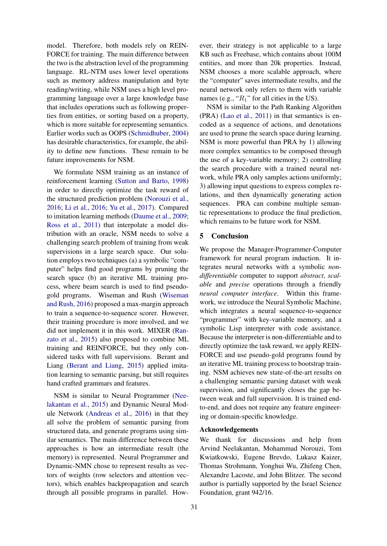model. Therefore, both models rely on REIN-FORCE for training. The main difference between the two is the abstraction level of the programming language. RL-NTM uses lower level operations such as memory address manipulation and byte reading/writing, while NSM uses a high level programming language over a large knowledge base that includes operations such as following properties from entities, or sorting based on a property, which is more suitable for representing semantics. Earlier works such as OOPS (Schmidhuber, 2004) has desirable characteristics, for example, the ability to define new functions. These remain to be future improvements for NSM.

We formulate NSM training as an instance of reinforcement learning (Sutton and Barto, 1998) in order to directly optimize the task reward of the structured prediction problem (Norouzi et al., 2016; Li et al., 2016; Yu et al., 2017). Compared to imitation learning methods (Daume et al., 2009; Ross et al., 2011) that interpolate a model distribution with an oracle, NSM needs to solve a challenging search problem of training from weak supervisions in a large search space. Our solution employs two techniques (a) a symbolic "computer" helps find good programs by pruning the search space (b) an iterative ML training process, where beam search is used to find pseudogold programs. Wiseman and Rush (Wiseman and Rush, 2016) proposed a max-margin approach to train a sequence-to-sequence scorer. However, their training procedure is more involved, and we did not implement it in this work. MIXER (Ranzato et al., 2015) also proposed to combine ML training and REINFORCE, but they only considered tasks with full supervisions. Berant and Liang (Berant and Liang, 2015) applied imitation learning to semantic parsing, but still requires hand crafted grammars and features.

NSM is similar to Neural Programmer (Neelakantan et al., 2015) and Dynamic Neural Module Network (Andreas et al., 2016) in that they all solve the problem of semantic parsing from structured data, and generate programs using similar semantics. The main difference between these approaches is how an intermediate result (the memory) is represented. Neural Programmer and Dynamic-NMN chose to represent results as vectors of weights (row selectors and attention vectors), which enables backpropagation and search through all possible programs in parallel. However, their strategy is not applicable to a large KB such as Freebase, which contains about 100M entities, and more than 20k properties. Instead, NSM chooses a more scalable approach, where the "computer" saves intermediate results, and the neural network only refers to them with variable names (e.g., " $R_1$ " for all cities in the US).

NSM is similar to the Path Ranking Algorithm (PRA) (Lao et al., 2011) in that semantics is encoded as a sequence of actions, and denotations are used to prune the search space during learning. NSM is more powerful than PRA by 1) allowing more complex semantics to be composed through the use of a key-variable memory; 2) controlling the search procedure with a trained neural network, while PRA only samples actions uniformly; 3) allowing input questions to express complex relations, and then dynamically generating action sequences. PRA can combine multiple semantic representations to produce the final prediction, which remains to be future work for NSM.

# 5 Conclusion

We propose the Manager-Programmer-Computer framework for neural program induction. It integrates neural networks with a symbolic *nondifferentiable* computer to support *abstract*, *scalable* and *precise* operations through a friendly *neural computer interface*. Within this framework, we introduce the Neural Symbolic Machine, which integrates a neural sequence-to-sequence "programmer" with key-variable memory, and a symbolic Lisp interpreter with code assistance. Because the interpreter is non-differentiable and to directly optimize the task reward, we apply REIN-FORCE and use pseudo-gold programs found by an iterative ML training process to bootstrap training. NSM achieves new state-of-the-art results on a challenging semantic parsing dataset with weak supervision, and significantly closes the gap between weak and full supervision. It is trained endto-end, and does not require any feature engineering or domain-specific knowledge.

## Acknowledgements

We thank for discussions and help from Arvind Neelakantan, Mohammad Norouzi, Tom Kwiatkowski, Eugene Brevdo, Lukasz Kaizer, Thomas Strohmann, Yonghui Wu, Zhifeng Chen, Alexandre Lacoste, and John Blitzer. The second author is partially supported by the Israel Science Foundation, grant 942/16.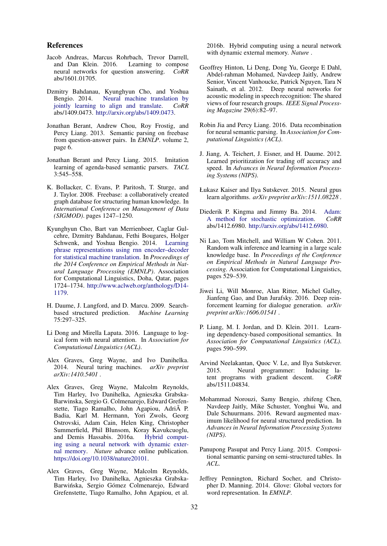#### References

- Jacob Andreas, Marcus Rohrbach, Trevor Darrell, and Dan Klein. 2016. Learning to compose neural networks for question answering. *CoRR* abs/1601.01705.
- Dzmitry Bahdanau, Kyunghyun Cho, and Yoshua Bengio. 2014. Neural machine translation by jointly learning to align and translate. *CoRR* abs/1409.0473. http://arxiv.org/abs/1409.0473.
- Jonathan Berant, Andrew Chou, Roy Frostig, and Percy Liang. 2013. Semantic parsing on freebase from question-answer pairs. In *EMNLP*. volume 2, page 6.
- Jonathan Berant and Percy Liang. 2015. Imitation learning of agenda-based semantic parsers. *TACL* 3:545–558.
- K. Bollacker, C. Evans, P. Paritosh, T. Sturge, and J. Taylor. 2008. Freebase: a collaboratively created graph database for structuring human knowledge. In *International Conference on Management of Data (SIGMOD)*. pages 1247–1250.
- Kyunghyun Cho, Bart van Merrienboer, Caglar Gulcehre, Dzmitry Bahdanau, Fethi Bougares, Holger Schwenk, and Yoshua Bengio. 2014. Learning phrase representations using rnn encoder–decoder for statistical machine translation. In *Proceedings of the 2014 Conference on Empirical Methods in Natural Language Processing (EMNLP)*. Association for Computational Linguistics, Doha, Qatar, pages 1724–1734. http://www.aclweb.org/anthology/D14- 1179.
- H. Daume, J. Langford, and D. Marcu. 2009. Searchbased structured prediction. *Machine Learning* 75:297–325.
- Li Dong and Mirella Lapata. 2016. Language to logical form with neural attention. In *Association for Computational Linguistics (ACL)*.
- Alex Graves, Greg Wayne, and Ivo Danihelka. 2014. Neural turing machines. *arXiv preprint arXiv:1410.5401* .
- Alex Graves, Greg Wayne, Malcolm Reynolds, Tim Harley, Ivo Danihelka, Agnieszka Grabska-Barwinska, Sergio G. Colmenarejo, Edward Grefenstette, Tiago Ramalho, John Agapiou, Adri $\tilde{A}$  P. Badia, Karl M. Hermann, Yori Zwols, Georg Ostrovski, Adam Cain, Helen King, Christopher Summerfield, Phil Blunsom, Koray Kavukcuoglu, and Demis Hassabis. 2016a. Hybrid computing using a neural network with dynamic external memory. *Nature* advance online publication. https://doi.org/10.1038/nature20101.
- Alex Graves, Greg Wayne, Malcolm Reynolds, Tim Harley, Ivo Danihelka, Agnieszka Grabska-Barwińska, Sergio Gómez Colmenarejo, Edward Grefenstette, Tiago Ramalho, John Agapiou, et al.

2016b. Hybrid computing using a neural network with dynamic external memory. *Nature* .

- Geoffrey Hinton, Li Deng, Dong Yu, George E Dahl, Abdel-rahman Mohamed, Navdeep Jaitly, Andrew Senior, Vincent Vanhoucke, Patrick Nguyen, Tara N Sainath, et al. 2012. Deep neural networks for acoustic modeling in speech recognition: The shared views of four research groups. *IEEE Signal Processing Magazine* 29(6):82–97.
- Robin Jia and Percy Liang. 2016. Data recombination for neural semantic parsing. In *Association for Computational Linguistics (ACL)*.
- J. Jiang, A. Teichert, J. Eisner, and H. Daume. 2012. Learned prioritization for trading off accuracy and speed. In *Advances in Neural Information Processing Systems (NIPS)*.
- Łukasz Kaiser and Ilya Sutskever. 2015. Neural gpus learn algorithms. *arXiv preprint arXiv:1511.08228* .
- Diederik P. Kingma and Jimmy Ba. 2014. Adam: A method for stochastic optimization. *CoRR* abs/1412.6980. http://arxiv.org/abs/1412.6980.
- Ni Lao, Tom Mitchell, and William W Cohen. 2011. Random walk inference and learning in a large scale knowledge base. In *Proceedings of the Conference on Empirical Methods in Natural Language Processing*. Association for Computational Linguistics, pages 529–539.
- Jiwei Li, Will Monroe, Alan Ritter, Michel Galley, Jianfeng Gao, and Dan Jurafsky. 2016. Deep reinforcement learning for dialogue generation. *arXiv preprint arXiv:1606.01541* .
- P. Liang, M. I. Jordan, and D. Klein. 2011. Learning dependency-based compositional semantics. In *Association for Computational Linguistics (ACL)*. pages 590–599.
- Arvind Neelakantan, Quoc V. Le, and Ilya Sutskever. 2015. Neural programmer: Inducing latent programs with gradient descent. *CoRR* abs/1511.04834.
- Mohammad Norouzi, Samy Bengio, zhifeng Chen, Navdeep Jaitly, Mike Schuster, Yonghui Wu, and Dale Schuurmans. 2016. Reward augmented maximum likelihood for neural structured prediction. In *Advances in Neural Information Processing Systems (NIPS)*.
- Panupong Pasupat and Percy Liang. 2015. Compositional semantic parsing on semi-structured tables. In *ACL*.
- Jeffrey Pennington, Richard Socher, and Christopher D. Manning. 2014. Glove: Global vectors for word representation. In *EMNLP*.